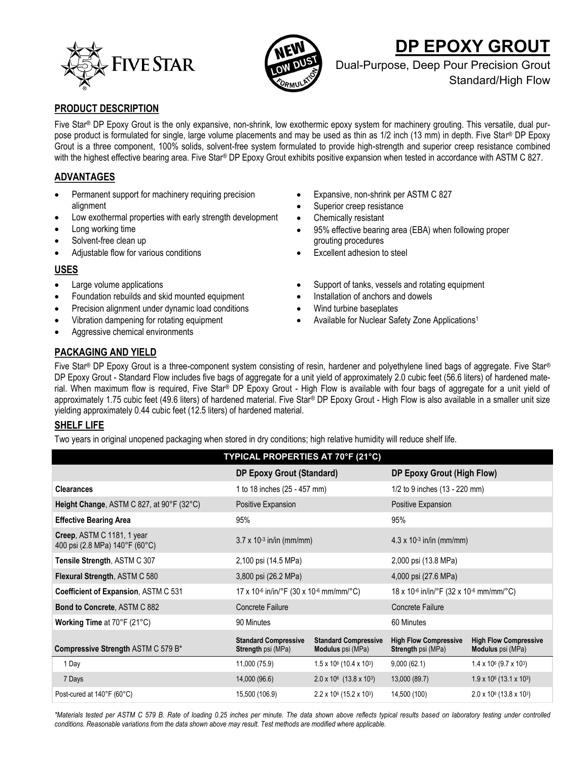



# **DP EPOXY GROUT**

Dual-Purpose, Deep Pour Precision Grout Standard/High Flow

## **PRODUCT DESCRIPTION**

Five Star® DP Epoxy Grout is the only expansive, non-shrink, low exothermic epoxy system for machinery grouting. This versatile, dual purpose product is formulated for single, large volume placements and may be used as thin as 1/2 inch (13 mm) in depth. Five Star® DP Epoxy Grout is a three component, 100% solids, solvent-free system formulated to provide high-strength and superior creep resistance combined with the highest effective bearing area. Five Star® DP Epoxy Grout exhibits positive expansion when tested in accordance with ASTM C 827.

# **ADVANTAGES**

- Permanent support for machinery requiring precision alignment
- Low exothermal properties with early strength development
- Long working time
- Solvent-free clean up
- Adjustable flow for various conditions

## **USES**

- Large volume applications
- Foundation rebuilds and skid mounted equipment
- Precision alignment under dynamic load conditions
- Vibration dampening for rotating equipment
- Aggressive chemical environments
- Expansive, non-shrink per ASTM C 827
- Superior creep resistance
- Chemically resistant
- 95% effective bearing area (EBA) when following proper grouting procedures
- Excellent adhesion to steel
- Support of tanks, vessels and rotating equipment
- Installation of anchors and dowels
- Wind turbine baseplates
- Available for Nuclear Safety Zone Applications<sup>1</sup>

# **PACKAGING AND YIELD**

Five Star® DP Epoxy Grout is a three-component system consisting of resin, hardener and polyethylene lined bags of aggregate. Five Star® DP Epoxy Grout - Standard Flow includes five bags of aggregate for a unit yield of approximately 2.0 cubic feet (56.6 liters) of hardened material. When maximum flow is required, Five Star® DP Epoxy Grout - High Flow is available with four bags of aggregate for a unit yield of approximately 1.75 cubic feet (49.6 liters) of hardened material. Five Star® DP Epoxy Grout - High Flow is also available in a smaller unit size yielding approximately 0.44 cubic feet (12.5 liters) of hardened material.

## **SHELF LIFE**

Two years in original unopened packaging when stored in dry conditions; high relative humidity will reduce shelf life.

| TYPICAL PROPERTIES AT 70°F (21°C)                                                 |                                                          |                                                         |                                                           |                                                          |  |  |  |
|-----------------------------------------------------------------------------------|----------------------------------------------------------|---------------------------------------------------------|-----------------------------------------------------------|----------------------------------------------------------|--|--|--|
|                                                                                   | <b>DP Epoxy Grout (Standard)</b>                         |                                                         | DP Epoxy Grout (High Flow)                                |                                                          |  |  |  |
| <b>Clearances</b>                                                                 | 1 to 18 inches (25 - 457 mm)                             |                                                         | 1/2 to 9 inches $(13 - 220$ mm)                           |                                                          |  |  |  |
| Height Change, ASTM C 827, at 90°F (32°C)                                         | Positive Expansion                                       |                                                         | Positive Expansion                                        |                                                          |  |  |  |
| <b>Effective Bearing Area</b>                                                     | 95%                                                      |                                                         | 95%                                                       |                                                          |  |  |  |
| Creep, ASTM C 1181, 1 year<br>400 psi (2.8 MPa) $140^{\circ}$ F (60 $^{\circ}$ C) | $3.7 \times 10^{-3}$ in/in (mm/mm)                       |                                                         | $4.3 \times 10^{-3}$ in/in (mm/mm)                        |                                                          |  |  |  |
| Tensile Strength, ASTM C 307                                                      | 2,100 psi (14.5 MPa)                                     |                                                         | 2,000 psi (13.8 MPa)                                      |                                                          |  |  |  |
| Flexural Strength, ASTM C 580                                                     | 3,800 psi (26.2 MPa)                                     |                                                         | 4,000 psi (27.6 MPa)                                      |                                                          |  |  |  |
| Coefficient of Expansion, ASTM C 531                                              | 17 x 10-6 in/in/°F (30 x 10-6 mm/mm/°C)                  |                                                         | 18 x 10-6 in/in/°F (32 x 10-6 mm/mm/°C)                   |                                                          |  |  |  |
| <b>Bond to Concrete, ASTM C 882</b>                                               | <b>Concrete Failure</b>                                  |                                                         | <b>Concrete Failure</b>                                   |                                                          |  |  |  |
| <b>Working Time at 70°F (21°C)</b>                                                | 90 Minutes                                               |                                                         | 60 Minutes                                                |                                                          |  |  |  |
| Compressive Strength ASTM C 579 B*                                                | <b>Standard Compressive</b><br><b>Strength psi (MPa)</b> | <b>Standard Compressive</b><br><b>Modulus</b> psi (MPa) | <b>High Flow Compressive</b><br><b>Strength psi (MPa)</b> | <b>High Flow Compressive</b><br><b>Modulus</b> psi (MPa) |  |  |  |
| 1 Day                                                                             | 11,000 (75.9)                                            | $1.5 \times 10^6$ (10.4 x 10 <sup>3</sup> )             | 9,000(62.1)                                               | $1.4 \times 10^{6}$ (9.7 x 10 <sup>3</sup> )             |  |  |  |
| 7 Days                                                                            | 14,000 (96.6)                                            | $2.0 \times 10^6$ (13.8 x 10 <sup>3</sup> )             | 13,000 (89.7)                                             | $1.9 \times 10^6$ (13.1 x 10 <sup>3</sup> )              |  |  |  |
| Post-cured at 140°F (60°C)                                                        | 15,500 (106.9)                                           | $2.2 \times 10^6$ (15.2 x 10 <sup>3</sup> )             | 14,500 (100)                                              | $2.0 \times 10^6$ (13.8 x 10 <sup>3</sup> )              |  |  |  |

*\*Materials tested per ASTM C 579 B. Rate of loading 0.25 inches per minute. The data shown above reflects typical results based on laboratory testing under controlled conditions. Reasonable variations from the data shown above may result. Test methods are modified where applicable.*